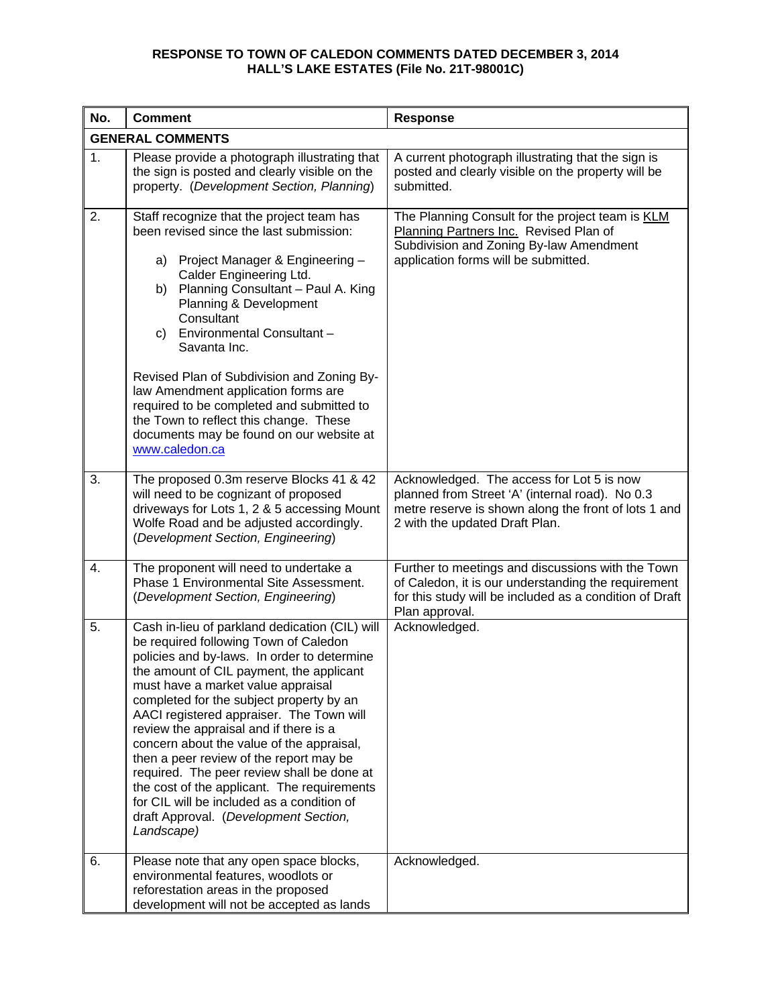| No. | <b>Comment</b>                                                                                                                                                                                                                                                                                                                                                                                                                                                                                                                                                                                                                                       | Response                                                                                                                                                                               |  |
|-----|------------------------------------------------------------------------------------------------------------------------------------------------------------------------------------------------------------------------------------------------------------------------------------------------------------------------------------------------------------------------------------------------------------------------------------------------------------------------------------------------------------------------------------------------------------------------------------------------------------------------------------------------------|----------------------------------------------------------------------------------------------------------------------------------------------------------------------------------------|--|
|     | <b>GENERAL COMMENTS</b>                                                                                                                                                                                                                                                                                                                                                                                                                                                                                                                                                                                                                              |                                                                                                                                                                                        |  |
| 1.  | Please provide a photograph illustrating that<br>the sign is posted and clearly visible on the<br>property. (Development Section, Planning)                                                                                                                                                                                                                                                                                                                                                                                                                                                                                                          | A current photograph illustrating that the sign is<br>posted and clearly visible on the property will be<br>submitted.                                                                 |  |
| 2.  | Staff recognize that the project team has<br>been revised since the last submission:<br>Project Manager & Engineering -<br>a)<br>Calder Engineering Ltd.<br>Planning Consultant - Paul A. King<br>b)<br>Planning & Development<br>Consultant<br>Environmental Consultant -<br>C)<br>Savanta Inc.<br>Revised Plan of Subdivision and Zoning By-<br>law Amendment application forms are<br>required to be completed and submitted to<br>the Town to reflect this change. These<br>documents may be found on our website at<br>www.caledon.ca                                                                                                           | The Planning Consult for the project team is KLM<br>Planning Partners Inc. Revised Plan of<br>Subdivision and Zoning By-law Amendment<br>application forms will be submitted.          |  |
| 3.  | The proposed 0.3m reserve Blocks 41 & 42<br>will need to be cognizant of proposed<br>driveways for Lots 1, 2 & 5 accessing Mount<br>Wolfe Road and be adjusted accordingly.<br>(Development Section, Engineering)                                                                                                                                                                                                                                                                                                                                                                                                                                    | Acknowledged. The access for Lot 5 is now<br>planned from Street 'A' (internal road). No 0.3<br>metre reserve is shown along the front of lots 1 and<br>2 with the updated Draft Plan. |  |
| 4.  | The proponent will need to undertake a<br>Phase 1 Environmental Site Assessment.<br>(Development Section, Engineering)                                                                                                                                                                                                                                                                                                                                                                                                                                                                                                                               | Further to meetings and discussions with the Town<br>of Caledon, it is our understanding the requirement<br>for this study will be included as a condition of Draft<br>Plan approval.  |  |
| 5.  | Cash in-lieu of parkland dedication (CIL) will<br>be required following Town of Caledon<br>policies and by-laws. In order to determine<br>the amount of CIL payment, the applicant<br>must have a market value appraisal<br>completed for the subject property by an<br>AACI registered appraiser. The Town will<br>review the appraisal and if there is a<br>concern about the value of the appraisal,<br>then a peer review of the report may be<br>required. The peer review shall be done at<br>the cost of the applicant. The requirements<br>for CIL will be included as a condition of<br>draft Approval. (Development Section,<br>Landscape) | Acknowledged.                                                                                                                                                                          |  |
| 6.  | Please note that any open space blocks,<br>environmental features, woodlots or<br>reforestation areas in the proposed<br>development will not be accepted as lands                                                                                                                                                                                                                                                                                                                                                                                                                                                                                   | Acknowledged.                                                                                                                                                                          |  |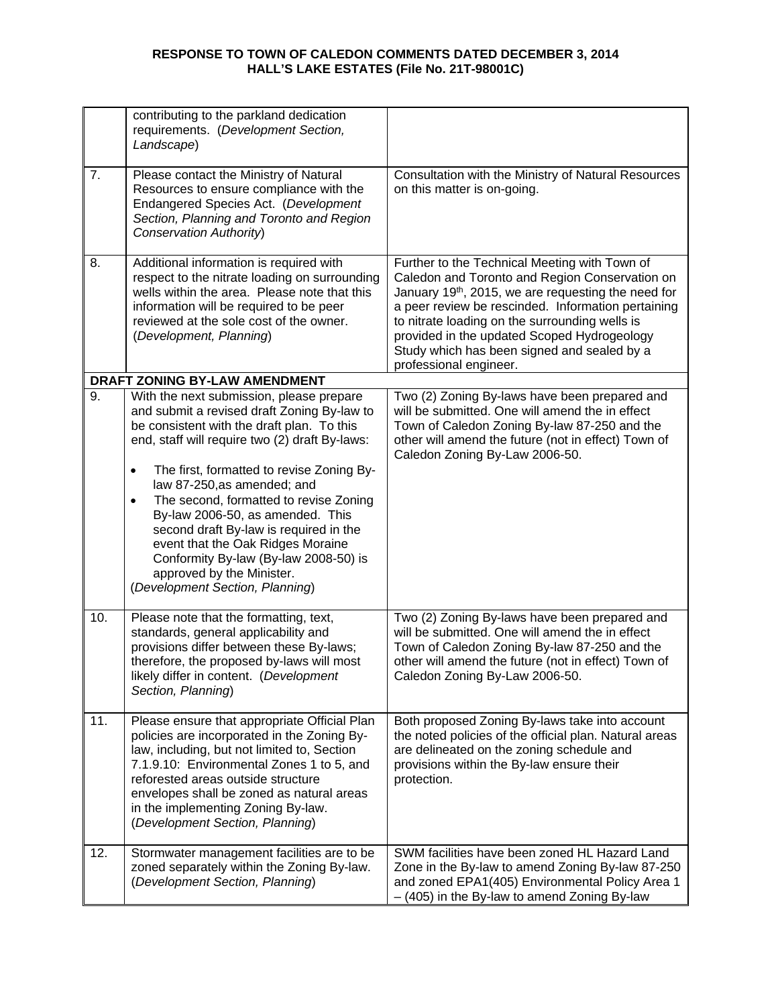|     | contributing to the parkland dedication<br>requirements. (Development Section,<br>Landscape)                                                                                                                                                                                                                                                                             |                                                                                                                                                                                                                                                                                                                                                                                                    |
|-----|--------------------------------------------------------------------------------------------------------------------------------------------------------------------------------------------------------------------------------------------------------------------------------------------------------------------------------------------------------------------------|----------------------------------------------------------------------------------------------------------------------------------------------------------------------------------------------------------------------------------------------------------------------------------------------------------------------------------------------------------------------------------------------------|
| 7.  | Please contact the Ministry of Natural<br>Resources to ensure compliance with the<br>Endangered Species Act. (Development<br>Section, Planning and Toronto and Region<br>Conservation Authority)                                                                                                                                                                         | Consultation with the Ministry of Natural Resources<br>on this matter is on-going.                                                                                                                                                                                                                                                                                                                 |
| 8.  | Additional information is required with<br>respect to the nitrate loading on surrounding<br>wells within the area. Please note that this<br>information will be required to be peer<br>reviewed at the sole cost of the owner.<br>(Development, Planning)                                                                                                                | Further to the Technical Meeting with Town of<br>Caledon and Toronto and Region Conservation on<br>January 19 <sup>th</sup> , 2015, we are requesting the need for<br>a peer review be rescinded. Information pertaining<br>to nitrate loading on the surrounding wells is<br>provided in the updated Scoped Hydrogeology<br>Study which has been signed and sealed by a<br>professional engineer. |
|     | DRAFT ZONING BY-LAW AMENDMENT                                                                                                                                                                                                                                                                                                                                            |                                                                                                                                                                                                                                                                                                                                                                                                    |
| 9.  | With the next submission, please prepare<br>and submit a revised draft Zoning By-law to<br>be consistent with the draft plan. To this<br>end, staff will require two (2) draft By-laws:                                                                                                                                                                                  | Two (2) Zoning By-laws have been prepared and<br>will be submitted. One will amend the in effect<br>Town of Caledon Zoning By-law 87-250 and the<br>other will amend the future (not in effect) Town of<br>Caledon Zoning By-Law 2006-50.                                                                                                                                                          |
|     | The first, formatted to revise Zoning By-<br>$\bullet$<br>law 87-250, as amended; and<br>The second, formatted to revise Zoning<br>$\bullet$<br>By-law 2006-50, as amended. This<br>second draft By-law is required in the<br>event that the Oak Ridges Moraine<br>Conformity By-law (By-law 2008-50) is<br>approved by the Minister.<br>(Development Section, Planning) |                                                                                                                                                                                                                                                                                                                                                                                                    |
| 10. | Please note that the formatting, text,<br>standards, general applicability and<br>provisions differ between these By-laws;<br>therefore, the proposed by-laws will most<br>likely differ in content. (Development<br>Section, Planning)                                                                                                                                  | Two (2) Zoning By-laws have been prepared and<br>will be submitted. One will amend the in effect<br>Town of Caledon Zoning By-law 87-250 and the<br>other will amend the future (not in effect) Town of<br>Caledon Zoning By-Law 2006-50.                                                                                                                                                          |
| 11. | Please ensure that appropriate Official Plan<br>policies are incorporated in the Zoning By-<br>law, including, but not limited to, Section<br>7.1.9.10: Environmental Zones 1 to 5, and<br>reforested areas outside structure<br>envelopes shall be zoned as natural areas<br>in the implementing Zoning By-law.<br>(Development Section, Planning)                      | Both proposed Zoning By-laws take into account<br>the noted policies of the official plan. Natural areas<br>are delineated on the zoning schedule and<br>provisions within the By-law ensure their<br>protection.                                                                                                                                                                                  |
| 12. | Stormwater management facilities are to be<br>zoned separately within the Zoning By-law.<br>(Development Section, Planning)                                                                                                                                                                                                                                              | SWM facilities have been zoned HL Hazard Land<br>Zone in the By-law to amend Zoning By-law 87-250<br>and zoned EPA1(405) Environmental Policy Area 1<br>- (405) in the By-law to amend Zoning By-law                                                                                                                                                                                               |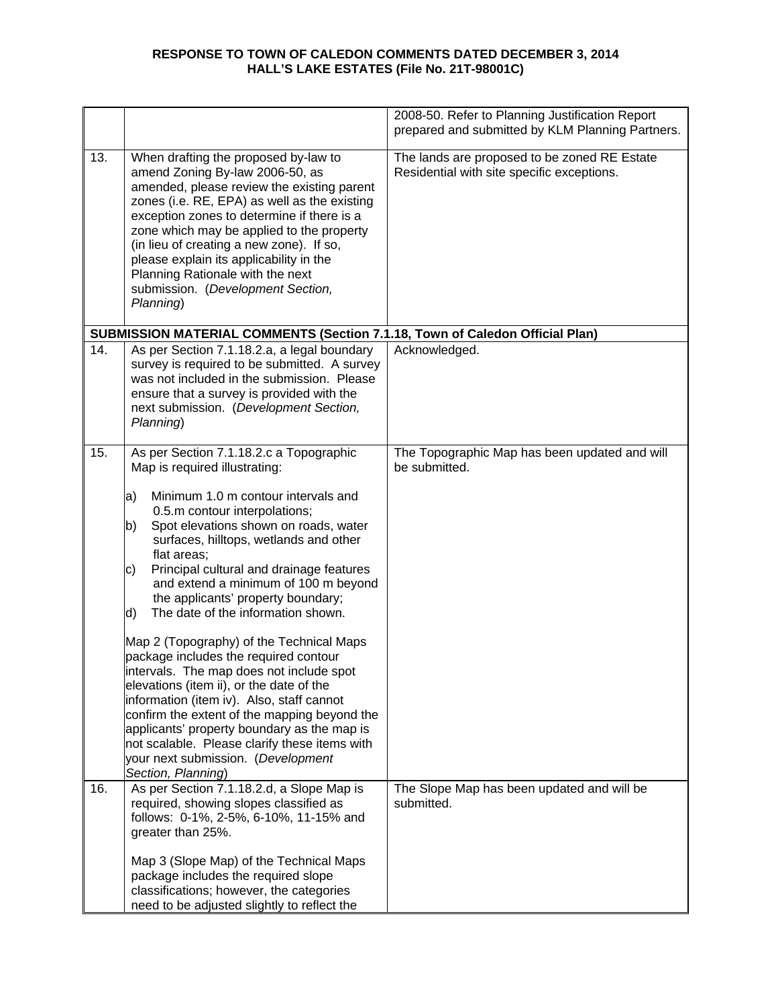|     |                                                                                                                                                                                                                                                                                                                                                                                                                                                                                                                                                                                                                                                                                                                                                                                                                        | 2008-50. Refer to Planning Justification Report<br>prepared and submitted by KLM Planning Partners. |
|-----|------------------------------------------------------------------------------------------------------------------------------------------------------------------------------------------------------------------------------------------------------------------------------------------------------------------------------------------------------------------------------------------------------------------------------------------------------------------------------------------------------------------------------------------------------------------------------------------------------------------------------------------------------------------------------------------------------------------------------------------------------------------------------------------------------------------------|-----------------------------------------------------------------------------------------------------|
| 13. | When drafting the proposed by-law to<br>amend Zoning By-law 2006-50, as<br>amended, please review the existing parent<br>zones (i.e. RE, EPA) as well as the existing<br>exception zones to determine if there is a<br>zone which may be applied to the property<br>(in lieu of creating a new zone). If so,<br>please explain its applicability in the<br>Planning Rationale with the next<br>submission. (Development Section,<br>Planning)                                                                                                                                                                                                                                                                                                                                                                          | The lands are proposed to be zoned RE Estate<br>Residential with site specific exceptions.          |
|     | SUBMISSION MATERIAL COMMENTS (Section 7.1.18, Town of Caledon Official Plan)                                                                                                                                                                                                                                                                                                                                                                                                                                                                                                                                                                                                                                                                                                                                           |                                                                                                     |
| 14. | As per Section 7.1.18.2.a, a legal boundary<br>survey is required to be submitted. A survey<br>was not included in the submission. Please<br>ensure that a survey is provided with the<br>next submission. (Development Section,<br>Planning)                                                                                                                                                                                                                                                                                                                                                                                                                                                                                                                                                                          | Acknowledged.                                                                                       |
| 15. | As per Section 7.1.18.2.c a Topographic<br>Map is required illustrating:<br>Minimum 1.0 m contour intervals and<br> a)<br>0.5.m contour interpolations;<br>Spot elevations shown on roads, water<br>b)<br>surfaces, hilltops, wetlands and other<br>flat areas;<br>Principal cultural and drainage features<br>C)<br>and extend a minimum of 100 m beyond<br>the applicants' property boundary;<br>The date of the information shown.<br>d)<br>Map 2 (Topography) of the Technical Maps<br>package includes the required contour<br>lintervals. The map does not include spot<br>elevations (item ii), or the date of the<br>information (item iv). Also, staff cannot<br>confirm the extent of the mapping beyond the<br>applicants' property boundary as the map is<br>not scalable. Please clarify these items with | The Topographic Map has been updated and will<br>be submitted.                                      |
|     | your next submission. (Development                                                                                                                                                                                                                                                                                                                                                                                                                                                                                                                                                                                                                                                                                                                                                                                     |                                                                                                     |
| 16. | Section, Planning)<br>As per Section 7.1.18.2.d, a Slope Map is<br>required, showing slopes classified as<br>follows: 0-1%, 2-5%, 6-10%, 11-15% and<br>greater than 25%.<br>Map 3 (Slope Map) of the Technical Maps<br>package includes the required slope<br>classifications; however, the categories<br>need to be adjusted slightly to reflect the                                                                                                                                                                                                                                                                                                                                                                                                                                                                  | The Slope Map has been updated and will be<br>submitted.                                            |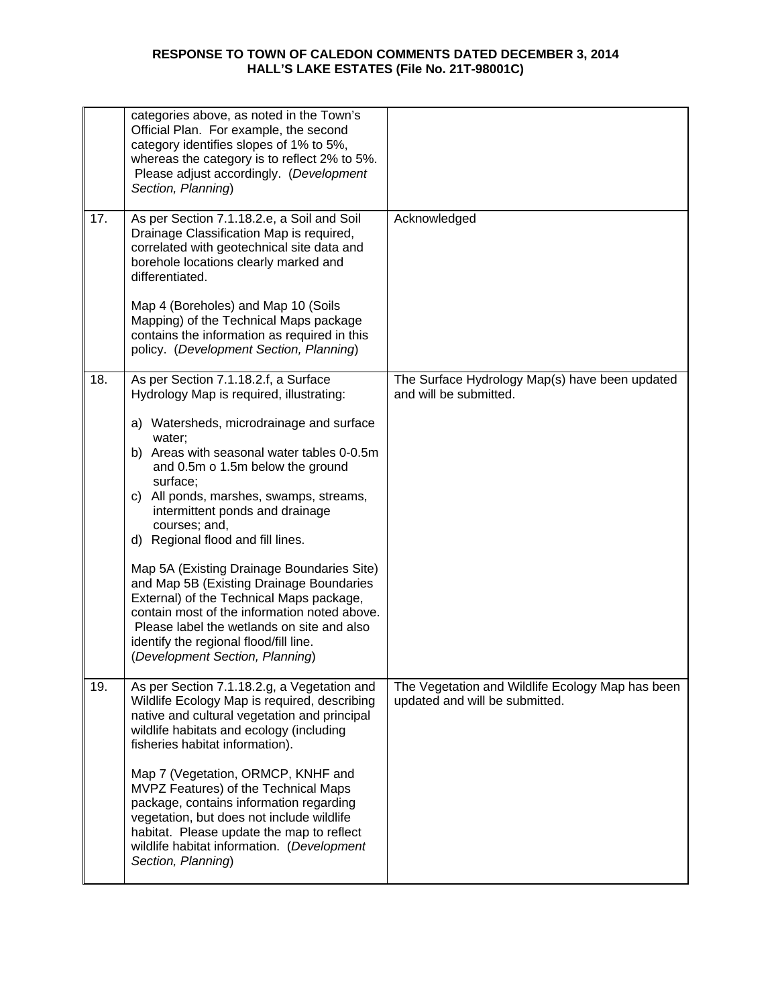|     | categories above, as noted in the Town's<br>Official Plan. For example, the second<br>category identifies slopes of 1% to 5%,<br>whereas the category is to reflect 2% to 5%.<br>Please adjust accordingly. (Development<br>Section, Planning)                                                                                                                                                                                                                                                                                                                                                                                                                                            |                                                                                    |
|-----|-------------------------------------------------------------------------------------------------------------------------------------------------------------------------------------------------------------------------------------------------------------------------------------------------------------------------------------------------------------------------------------------------------------------------------------------------------------------------------------------------------------------------------------------------------------------------------------------------------------------------------------------------------------------------------------------|------------------------------------------------------------------------------------|
| 17. | As per Section 7.1.18.2.e, a Soil and Soil<br>Drainage Classification Map is required,<br>correlated with geotechnical site data and<br>borehole locations clearly marked and<br>differentiated.                                                                                                                                                                                                                                                                                                                                                                                                                                                                                          | Acknowledged                                                                       |
|     | Map 4 (Boreholes) and Map 10 (Soils<br>Mapping) of the Technical Maps package<br>contains the information as required in this<br>policy. (Development Section, Planning)                                                                                                                                                                                                                                                                                                                                                                                                                                                                                                                  |                                                                                    |
| 18. | As per Section 7.1.18.2.f, a Surface<br>Hydrology Map is required, illustrating:<br>a) Watersheds, microdrainage and surface<br>water;<br>b) Areas with seasonal water tables 0-0.5m<br>and 0.5m o 1.5m below the ground<br>surface;<br>c) All ponds, marshes, swamps, streams,<br>intermittent ponds and drainage<br>courses; and,<br>d) Regional flood and fill lines.<br>Map 5A (Existing Drainage Boundaries Site)<br>and Map 5B (Existing Drainage Boundaries<br>External) of the Technical Maps package,<br>contain most of the information noted above.<br>Please label the wetlands on site and also<br>identify the regional flood/fill line.<br>(Development Section, Planning) | The Surface Hydrology Map(s) have been updated<br>and will be submitted.           |
| 19. | As per Section 7.1.18.2.g, a Vegetation and<br>Wildlife Ecology Map is required, describing<br>native and cultural vegetation and principal<br>wildlife habitats and ecology (including<br>fisheries habitat information).<br>Map 7 (Vegetation, ORMCP, KNHF and<br>MVPZ Features) of the Technical Maps<br>package, contains information regarding<br>vegetation, but does not include wildlife<br>habitat. Please update the map to reflect<br>wildlife habitat information. (Development<br>Section, Planning)                                                                                                                                                                         | The Vegetation and Wildlife Ecology Map has been<br>updated and will be submitted. |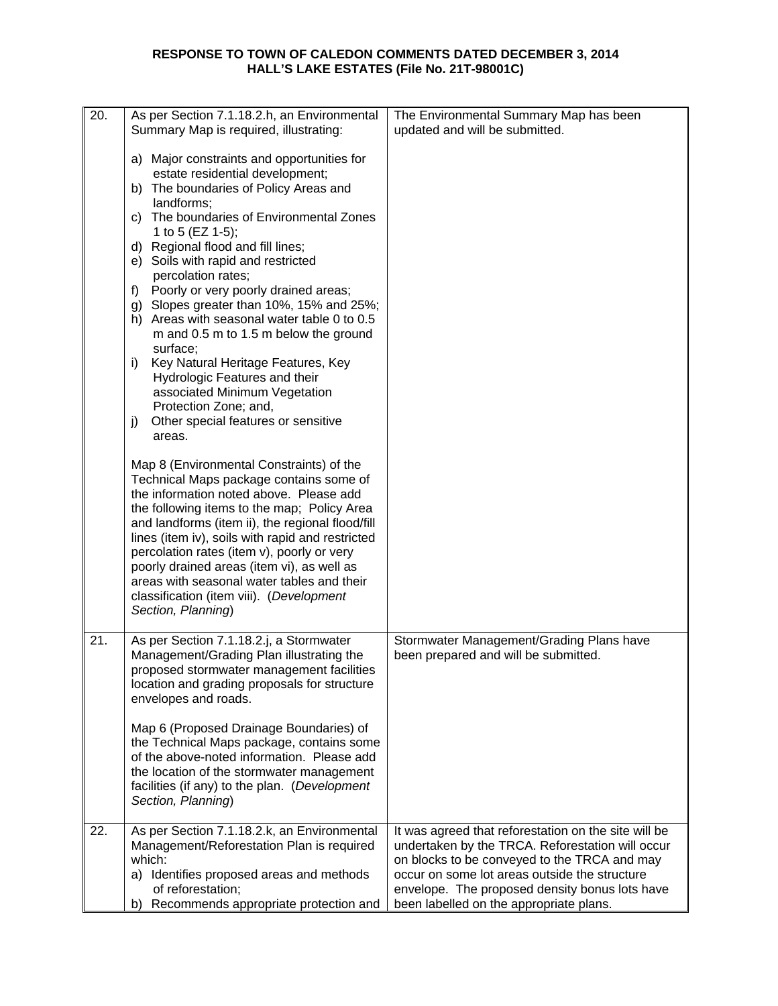| 20. | As per Section 7.1.18.2.h, an Environmental<br>Summary Map is required, illustrating:                                                                                                                                                                                                                                                                                                                                                                                                                                                                                                                                                                                                                                                                                                                                                                                                                                                                                                                                                                                                                                                                                                                  | The Environmental Summary Map has been<br>updated and will be submitted.                                                                                                                                                                                                                               |
|-----|--------------------------------------------------------------------------------------------------------------------------------------------------------------------------------------------------------------------------------------------------------------------------------------------------------------------------------------------------------------------------------------------------------------------------------------------------------------------------------------------------------------------------------------------------------------------------------------------------------------------------------------------------------------------------------------------------------------------------------------------------------------------------------------------------------------------------------------------------------------------------------------------------------------------------------------------------------------------------------------------------------------------------------------------------------------------------------------------------------------------------------------------------------------------------------------------------------|--------------------------------------------------------------------------------------------------------------------------------------------------------------------------------------------------------------------------------------------------------------------------------------------------------|
|     | a) Major constraints and opportunities for<br>estate residential development;<br>b) The boundaries of Policy Areas and<br>landforms;<br>c) The boundaries of Environmental Zones<br>1 to 5 (EZ 1-5);<br>d) Regional flood and fill lines;<br>e) Soils with rapid and restricted<br>percolation rates;<br>Poorly or very poorly drained areas;<br>f)<br>g) Slopes greater than 10%, 15% and 25%;<br>h) Areas with seasonal water table 0 to 0.5<br>m and 0.5 m to 1.5 m below the ground<br>surface;<br>Key Natural Heritage Features, Key<br>i)<br>Hydrologic Features and their<br>associated Minimum Vegetation<br>Protection Zone; and,<br>Other special features or sensitive<br>j)<br>areas.<br>Map 8 (Environmental Constraints) of the<br>Technical Maps package contains some of<br>the information noted above. Please add<br>the following items to the map; Policy Area<br>and landforms (item ii), the regional flood/fill<br>lines (item iv), soils with rapid and restricted<br>percolation rates (item v), poorly or very<br>poorly drained areas (item vi), as well as<br>areas with seasonal water tables and their<br>classification (item viii). (Development<br>Section, Planning) |                                                                                                                                                                                                                                                                                                        |
| 21. | As per Section 7.1.18.2.j, a Stormwater<br>Management/Grading Plan illustrating the<br>proposed stormwater management facilities<br>location and grading proposals for structure<br>envelopes and roads.                                                                                                                                                                                                                                                                                                                                                                                                                                                                                                                                                                                                                                                                                                                                                                                                                                                                                                                                                                                               | Stormwater Management/Grading Plans have<br>been prepared and will be submitted.                                                                                                                                                                                                                       |
|     | Map 6 (Proposed Drainage Boundaries) of<br>the Technical Maps package, contains some<br>of the above-noted information. Please add<br>the location of the stormwater management<br>facilities (if any) to the plan. (Development<br>Section, Planning)                                                                                                                                                                                                                                                                                                                                                                                                                                                                                                                                                                                                                                                                                                                                                                                                                                                                                                                                                 |                                                                                                                                                                                                                                                                                                        |
| 22. | As per Section 7.1.18.2.k, an Environmental<br>Management/Reforestation Plan is required<br>which:<br>Identifies proposed areas and methods<br>a)<br>of reforestation;<br>Recommends appropriate protection and<br>b)                                                                                                                                                                                                                                                                                                                                                                                                                                                                                                                                                                                                                                                                                                                                                                                                                                                                                                                                                                                  | It was agreed that reforestation on the site will be<br>undertaken by the TRCA. Reforestation will occur<br>on blocks to be conveyed to the TRCA and may<br>occur on some lot areas outside the structure<br>envelope. The proposed density bonus lots have<br>been labelled on the appropriate plans. |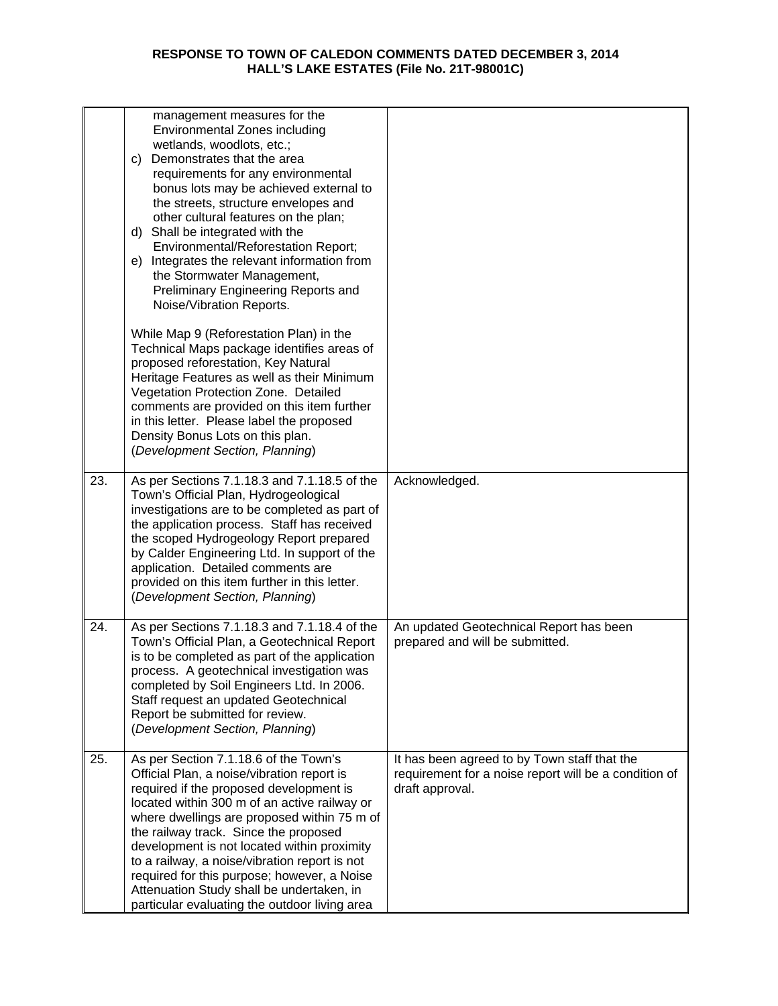|     | management measures for the                                                                                                                                                                                                                                                                                                                                                                                                                                                                                         |                                                                                                                          |
|-----|---------------------------------------------------------------------------------------------------------------------------------------------------------------------------------------------------------------------------------------------------------------------------------------------------------------------------------------------------------------------------------------------------------------------------------------------------------------------------------------------------------------------|--------------------------------------------------------------------------------------------------------------------------|
|     | <b>Environmental Zones including</b><br>wetlands, woodlots, etc.;<br>Demonstrates that the area<br>C)<br>requirements for any environmental<br>bonus lots may be achieved external to<br>the streets, structure envelopes and<br>other cultural features on the plan;<br>d) Shall be integrated with the<br>Environmental/Reforestation Report;<br>e) Integrates the relevant information from<br>the Stormwater Management,<br>Preliminary Engineering Reports and<br>Noise/Vibration Reports.                     |                                                                                                                          |
|     | While Map 9 (Reforestation Plan) in the<br>Technical Maps package identifies areas of<br>proposed reforestation, Key Natural<br>Heritage Features as well as their Minimum<br>Vegetation Protection Zone. Detailed<br>comments are provided on this item further<br>in this letter. Please label the proposed<br>Density Bonus Lots on this plan.<br>(Development Section, Planning)                                                                                                                                |                                                                                                                          |
| 23. | As per Sections 7.1.18.3 and 7.1.18.5 of the<br>Town's Official Plan, Hydrogeological<br>investigations are to be completed as part of<br>the application process. Staff has received<br>the scoped Hydrogeology Report prepared<br>by Calder Engineering Ltd. In support of the<br>application. Detailed comments are<br>provided on this item further in this letter.<br>(Development Section, Planning)                                                                                                          | Acknowledged.                                                                                                            |
| 24. | As per Sections 7.1.18.3 and 7.1.18.4 of the<br>Town's Official Plan, a Geotechnical Report<br>is to be completed as part of the application<br>process. A geotechnical investigation was<br>completed by Soil Engineers Ltd. In 2006.<br>Staff request an updated Geotechnical<br>Report be submitted for review.<br>(Development Section, Planning)                                                                                                                                                               | An updated Geotechnical Report has been<br>prepared and will be submitted.                                               |
| 25. | As per Section 7.1.18.6 of the Town's<br>Official Plan, a noise/vibration report is<br>required if the proposed development is<br>located within 300 m of an active railway or<br>where dwellings are proposed within 75 m of<br>the railway track. Since the proposed<br>development is not located within proximity<br>to a railway, a noise/vibration report is not<br>required for this purpose; however, a Noise<br>Attenuation Study shall be undertaken, in<br>particular evaluating the outdoor living area | It has been agreed to by Town staff that the<br>requirement for a noise report will be a condition of<br>draft approval. |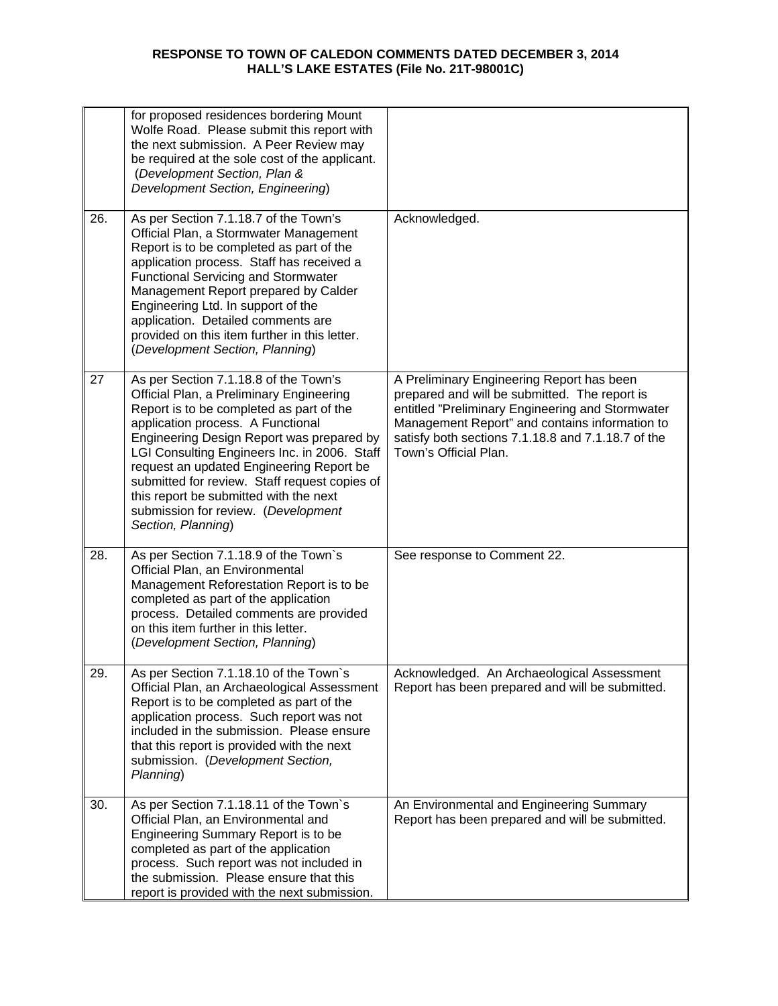|     | for proposed residences bordering Mount<br>Wolfe Road. Please submit this report with<br>the next submission. A Peer Review may<br>be required at the sole cost of the applicant.<br>(Development Section, Plan &<br>Development Section, Engineering)                                                                                                                                                                                                              |                                                                                                                                                                                                                                                                                 |
|-----|---------------------------------------------------------------------------------------------------------------------------------------------------------------------------------------------------------------------------------------------------------------------------------------------------------------------------------------------------------------------------------------------------------------------------------------------------------------------|---------------------------------------------------------------------------------------------------------------------------------------------------------------------------------------------------------------------------------------------------------------------------------|
| 26. | As per Section 7.1.18.7 of the Town's<br>Official Plan, a Stormwater Management<br>Report is to be completed as part of the<br>application process. Staff has received a<br><b>Functional Servicing and Stormwater</b><br>Management Report prepared by Calder<br>Engineering Ltd. In support of the<br>application. Detailed comments are<br>provided on this item further in this letter.<br>(Development Section, Planning)                                      | Acknowledged.                                                                                                                                                                                                                                                                   |
| 27  | As per Section 7.1.18.8 of the Town's<br>Official Plan, a Preliminary Engineering<br>Report is to be completed as part of the<br>application process. A Functional<br>Engineering Design Report was prepared by<br>LGI Consulting Engineers Inc. in 2006. Staff<br>request an updated Engineering Report be<br>submitted for review. Staff request copies of<br>this report be submitted with the next<br>submission for review. (Development<br>Section, Planning) | A Preliminary Engineering Report has been<br>prepared and will be submitted. The report is<br>entitled "Preliminary Engineering and Stormwater<br>Management Report" and contains information to<br>satisfy both sections 7.1.18.8 and 7.1.18.7 of the<br>Town's Official Plan. |
| 28. | As per Section 7.1.18.9 of the Town's<br>Official Plan, an Environmental<br>Management Reforestation Report is to be<br>completed as part of the application<br>process. Detailed comments are provided<br>on this item further in this letter.<br>(Development Section, Planning)                                                                                                                                                                                  | See response to Comment 22.                                                                                                                                                                                                                                                     |
| 29. | As per Section 7.1.18.10 of the Town's<br>Official Plan, an Archaeological Assessment<br>Report is to be completed as part of the<br>application process. Such report was not<br>included in the submission. Please ensure<br>that this report is provided with the next<br>submission. (Development Section,<br>Planning)                                                                                                                                          | Acknowledged. An Archaeological Assessment<br>Report has been prepared and will be submitted.                                                                                                                                                                                   |
| 30. | As per Section 7.1.18.11 of the Town's<br>Official Plan, an Environmental and<br>Engineering Summary Report is to be<br>completed as part of the application<br>process. Such report was not included in<br>the submission. Please ensure that this<br>report is provided with the next submission.                                                                                                                                                                 | An Environmental and Engineering Summary<br>Report has been prepared and will be submitted.                                                                                                                                                                                     |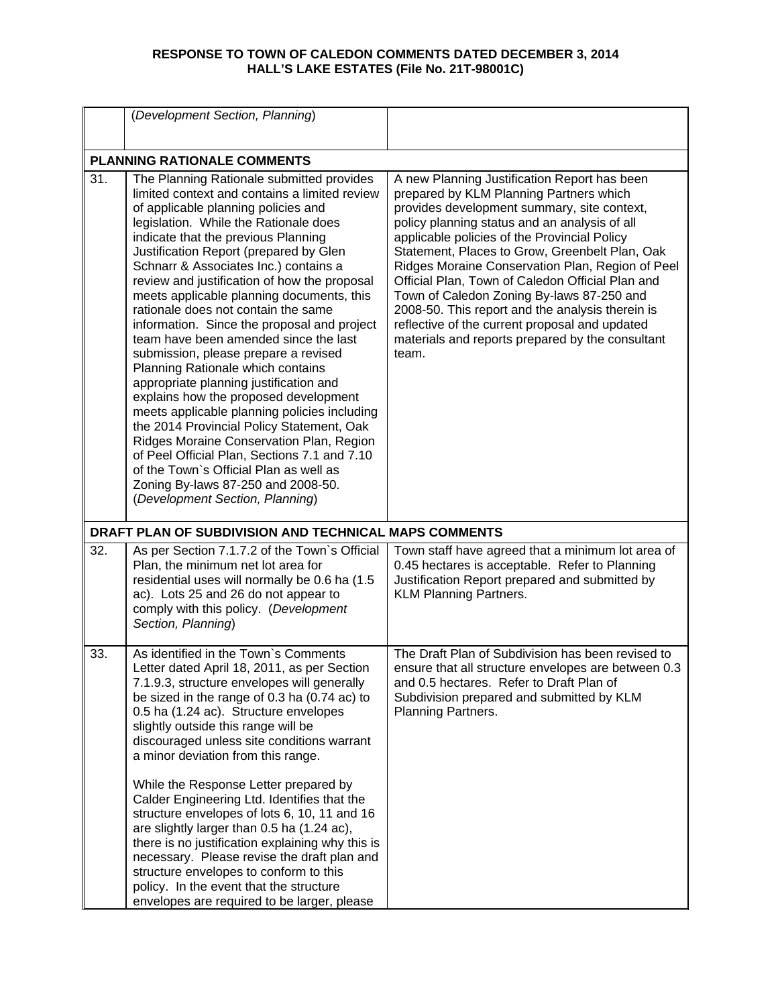|     | (Development Section, Planning)                                                                                                                                                                                                                                                                                                                                                                                                                                                                                                                                                                                                                                                                                                                                                                                                                                                                                                                                                                              |                                                                                                                                                                                                                                                                                                                                                                                                                                                                                                                                                                                                                   |
|-----|--------------------------------------------------------------------------------------------------------------------------------------------------------------------------------------------------------------------------------------------------------------------------------------------------------------------------------------------------------------------------------------------------------------------------------------------------------------------------------------------------------------------------------------------------------------------------------------------------------------------------------------------------------------------------------------------------------------------------------------------------------------------------------------------------------------------------------------------------------------------------------------------------------------------------------------------------------------------------------------------------------------|-------------------------------------------------------------------------------------------------------------------------------------------------------------------------------------------------------------------------------------------------------------------------------------------------------------------------------------------------------------------------------------------------------------------------------------------------------------------------------------------------------------------------------------------------------------------------------------------------------------------|
|     | <b>PLANNING RATIONALE COMMENTS</b>                                                                                                                                                                                                                                                                                                                                                                                                                                                                                                                                                                                                                                                                                                                                                                                                                                                                                                                                                                           |                                                                                                                                                                                                                                                                                                                                                                                                                                                                                                                                                                                                                   |
| 31. | The Planning Rationale submitted provides<br>limited context and contains a limited review<br>of applicable planning policies and<br>legislation. While the Rationale does<br>indicate that the previous Planning<br>Justification Report (prepared by Glen<br>Schnarr & Associates Inc.) contains a<br>review and justification of how the proposal<br>meets applicable planning documents, this<br>rationale does not contain the same<br>information. Since the proposal and project<br>team have been amended since the last<br>submission, please prepare a revised<br>Planning Rationale which contains<br>appropriate planning justification and<br>explains how the proposed development<br>meets applicable planning policies including<br>the 2014 Provincial Policy Statement, Oak<br>Ridges Moraine Conservation Plan, Region<br>of Peel Official Plan, Sections 7.1 and 7.10<br>of the Town's Official Plan as well as<br>Zoning By-laws 87-250 and 2008-50.<br>(Development Section, Planning) | A new Planning Justification Report has been<br>prepared by KLM Planning Partners which<br>provides development summary, site context,<br>policy planning status and an analysis of all<br>applicable policies of the Provincial Policy<br>Statement, Places to Grow, Greenbelt Plan, Oak<br>Ridges Moraine Conservation Plan, Region of Peel<br>Official Plan, Town of Caledon Official Plan and<br>Town of Caledon Zoning By-laws 87-250 and<br>2008-50. This report and the analysis therein is<br>reflective of the current proposal and updated<br>materials and reports prepared by the consultant<br>team. |
|     | DRAFT PLAN OF SUBDIVISION AND TECHNICAL MAPS COMMENTS                                                                                                                                                                                                                                                                                                                                                                                                                                                                                                                                                                                                                                                                                                                                                                                                                                                                                                                                                        |                                                                                                                                                                                                                                                                                                                                                                                                                                                                                                                                                                                                                   |
| 32. | As per Section 7.1.7.2 of the Town's Official<br>Plan, the minimum net lot area for<br>residential uses will normally be 0.6 ha (1.5<br>ac). Lots 25 and 26 do not appear to<br>comply with this policy. (Development<br>Section, Planning)                                                                                                                                                                                                                                                                                                                                                                                                                                                                                                                                                                                                                                                                                                                                                                  | Town staff have agreed that a minimum lot area of<br>0.45 hectares is acceptable. Refer to Planning<br>Justification Report prepared and submitted by<br><b>KLM Planning Partners.</b>                                                                                                                                                                                                                                                                                                                                                                                                                            |
| 33. | As identified in the Town's Comments<br>etter dated April 18, 2011, as per Section<br>7.1.9.3, structure envelopes will generally<br>be sized in the range of 0.3 ha (0.74 ac) to<br>0.5 ha (1.24 ac). Structure envelopes<br>slightly outside this range will be<br>discouraged unless site conditions warrant<br>a minor deviation from this range.<br>While the Response Letter prepared by<br>Calder Engineering Ltd. Identifies that the<br>structure envelopes of lots 6, 10, 11 and 16<br>are slightly larger than 0.5 ha (1.24 ac),<br>there is no justification explaining why this is<br>necessary. Please revise the draft plan and<br>structure envelopes to conform to this<br>policy. In the event that the structure<br>envelopes are required to be larger, please                                                                                                                                                                                                                           | The Draft Plan of Subdivision has been revised to<br>ensure that all structure envelopes are between 0.3<br>and 0.5 hectares. Refer to Draft Plan of<br>Subdivision prepared and submitted by KLM<br>Planning Partners.                                                                                                                                                                                                                                                                                                                                                                                           |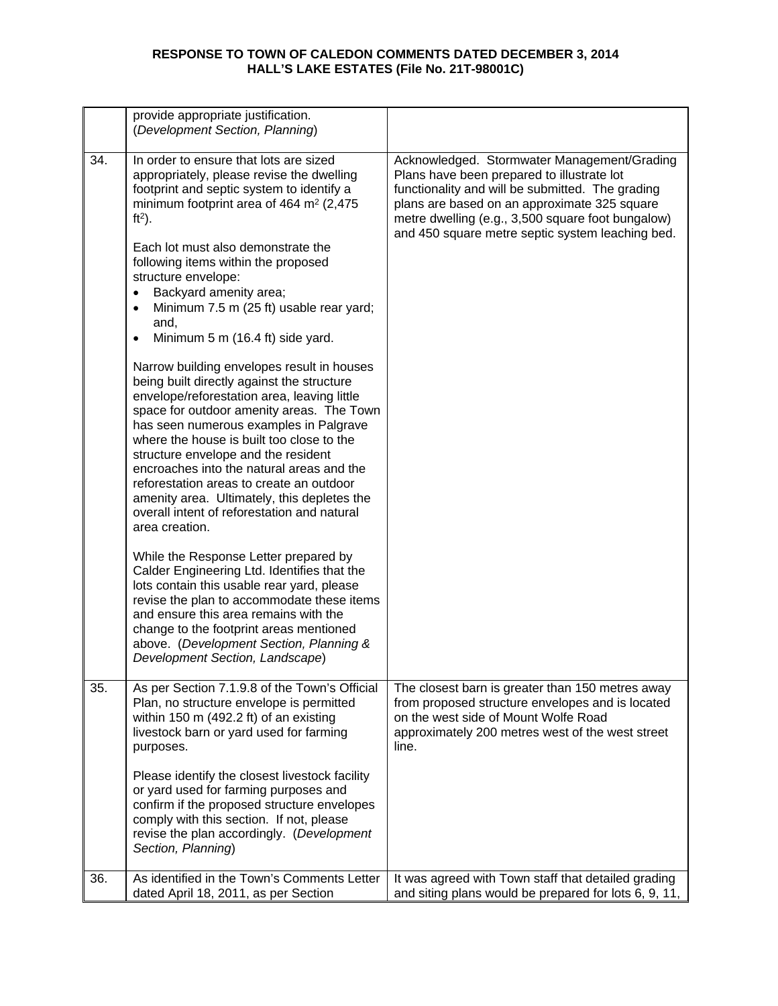|     | provide appropriate justification.<br>(Development Section, Planning)                                                                                                                                                                                                                                                                                                                                                                                                                                                                                                                                                                                                                                                                                                             |                                                                                                                                                                                                                                                                                                        |
|-----|-----------------------------------------------------------------------------------------------------------------------------------------------------------------------------------------------------------------------------------------------------------------------------------------------------------------------------------------------------------------------------------------------------------------------------------------------------------------------------------------------------------------------------------------------------------------------------------------------------------------------------------------------------------------------------------------------------------------------------------------------------------------------------------|--------------------------------------------------------------------------------------------------------------------------------------------------------------------------------------------------------------------------------------------------------------------------------------------------------|
| 34. | In order to ensure that lots are sized<br>appropriately, please revise the dwelling<br>footprint and septic system to identify a<br>minimum footprint area of 464 $m2$ (2,475<br>$ft2$ ).<br>Each lot must also demonstrate the<br>following items within the proposed<br>structure envelope:<br>Backyard amenity area;<br>Minimum 7.5 m (25 ft) usable rear yard;<br>and,<br>Minimum 5 m (16.4 ft) side yard.<br>Narrow building envelopes result in houses<br>being built directly against the structure<br>envelope/reforestation area, leaving little<br>space for outdoor amenity areas. The Town<br>has seen numerous examples in Palgrave<br>where the house is built too close to the<br>structure envelope and the resident<br>encroaches into the natural areas and the | Acknowledged. Stormwater Management/Grading<br>Plans have been prepared to illustrate lot<br>functionality and will be submitted. The grading<br>plans are based on an approximate 325 square<br>metre dwelling (e.g., 3,500 square foot bungalow)<br>and 450 square metre septic system leaching bed. |
|     | reforestation areas to create an outdoor<br>amenity area. Ultimately, this depletes the<br>overall intent of reforestation and natural<br>area creation.                                                                                                                                                                                                                                                                                                                                                                                                                                                                                                                                                                                                                          |                                                                                                                                                                                                                                                                                                        |
|     | While the Response Letter prepared by<br>Calder Engineering Ltd. Identifies that the<br>lots contain this usable rear yard, please<br>revise the plan to accommodate these items<br>and ensure this area remains with the<br>change to the footprint areas mentioned<br>above. (Development Section, Planning &<br>Development Section, Landscape)                                                                                                                                                                                                                                                                                                                                                                                                                                |                                                                                                                                                                                                                                                                                                        |
| 35. | As per Section 7.1.9.8 of the Town's Official<br>Plan, no structure envelope is permitted<br>within 150 m (492.2 ft) of an existing<br>livestock barn or yard used for farming<br>purposes.                                                                                                                                                                                                                                                                                                                                                                                                                                                                                                                                                                                       | The closest barn is greater than 150 metres away<br>from proposed structure envelopes and is located<br>on the west side of Mount Wolfe Road<br>approximately 200 metres west of the west street<br>line.                                                                                              |
|     | Please identify the closest livestock facility<br>or yard used for farming purposes and<br>confirm if the proposed structure envelopes<br>comply with this section. If not, please<br>revise the plan accordingly. (Development<br>Section, Planning)                                                                                                                                                                                                                                                                                                                                                                                                                                                                                                                             |                                                                                                                                                                                                                                                                                                        |
| 36. | As identified in the Town's Comments Letter<br>dated April 18, 2011, as per Section                                                                                                                                                                                                                                                                                                                                                                                                                                                                                                                                                                                                                                                                                               | It was agreed with Town staff that detailed grading<br>and siting plans would be prepared for lots 6, 9, 11,                                                                                                                                                                                           |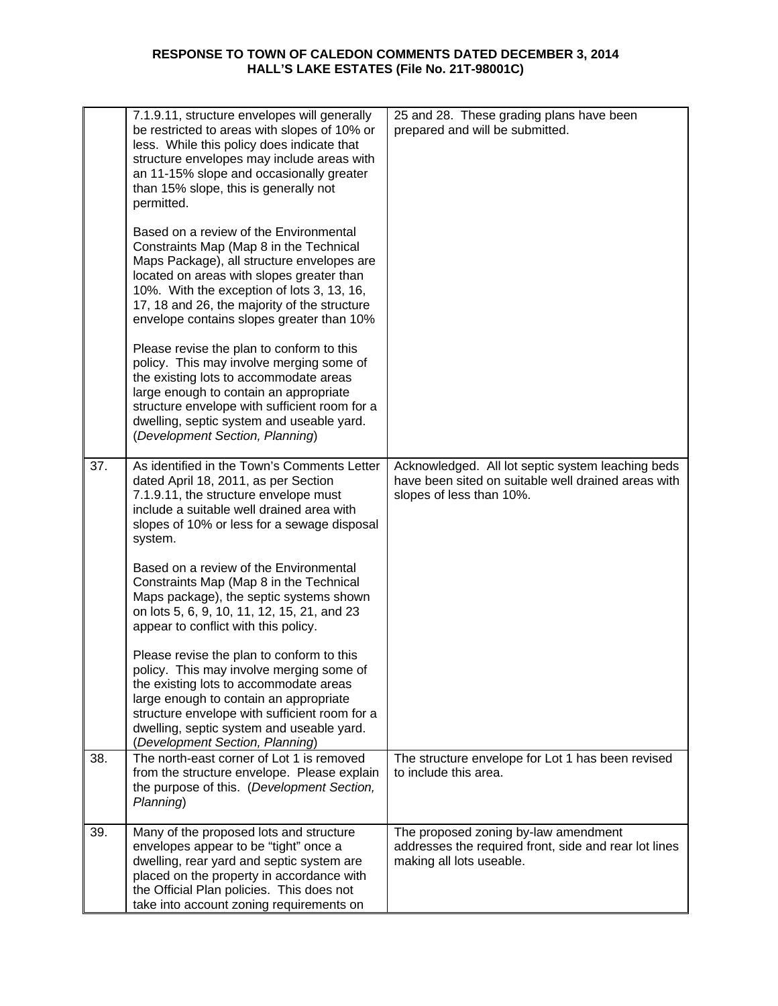|     | 7.1.9.11, structure envelopes will generally<br>be restricted to areas with slopes of 10% or<br>less. While this policy does indicate that<br>structure envelopes may include areas with<br>an 11-15% slope and occasionally greater<br>than 15% slope, this is generally not<br>permitted.                             | 25 and 28. These grading plans have been<br>prepared and will be submitted.                                                          |
|-----|-------------------------------------------------------------------------------------------------------------------------------------------------------------------------------------------------------------------------------------------------------------------------------------------------------------------------|--------------------------------------------------------------------------------------------------------------------------------------|
|     | Based on a review of the Environmental<br>Constraints Map (Map 8 in the Technical<br>Maps Package), all structure envelopes are<br>located on areas with slopes greater than<br>10%. With the exception of lots 3, 13, 16,<br>17, 18 and 26, the majority of the structure<br>envelope contains slopes greater than 10% |                                                                                                                                      |
|     | Please revise the plan to conform to this<br>policy. This may involve merging some of<br>the existing lots to accommodate areas<br>large enough to contain an appropriate<br>structure envelope with sufficient room for a<br>dwelling, septic system and useable yard.<br>(Development Section, Planning)              |                                                                                                                                      |
| 37. | As identified in the Town's Comments Letter<br>dated April 18, 2011, as per Section<br>7.1.9.11, the structure envelope must<br>include a suitable well drained area with<br>slopes of 10% or less for a sewage disposal<br>system.                                                                                     | Acknowledged. All lot septic system leaching beds<br>have been sited on suitable well drained areas with<br>slopes of less than 10%. |
|     | Based on a review of the Environmental<br>Constraints Map (Map 8 in the Technical<br>Maps package), the septic systems shown<br>on lots 5, 6, 9, 10, 11, 12, 15, 21, and 23<br>appear to conflict with this policy.                                                                                                     |                                                                                                                                      |
|     | Please revise the plan to conform to this<br>policy. This may involve merging some of<br>the existing lots to accommodate areas<br>large enough to contain an appropriate<br>structure envelope with sufficient room for a<br>dwelling, septic system and useable yard.<br>(Development Section, Planning)              |                                                                                                                                      |
| 38. | The north-east corner of Lot 1 is removed<br>from the structure envelope. Please explain<br>the purpose of this. (Development Section,<br>Planning)                                                                                                                                                                     | The structure envelope for Lot 1 has been revised<br>to include this area.                                                           |
| 39. | Many of the proposed lots and structure<br>envelopes appear to be "tight" once a<br>dwelling, rear yard and septic system are<br>placed on the property in accordance with<br>the Official Plan policies. This does not<br>take into account zoning requirements on                                                     | The proposed zoning by-law amendment<br>addresses the required front, side and rear lot lines<br>making all lots useable.            |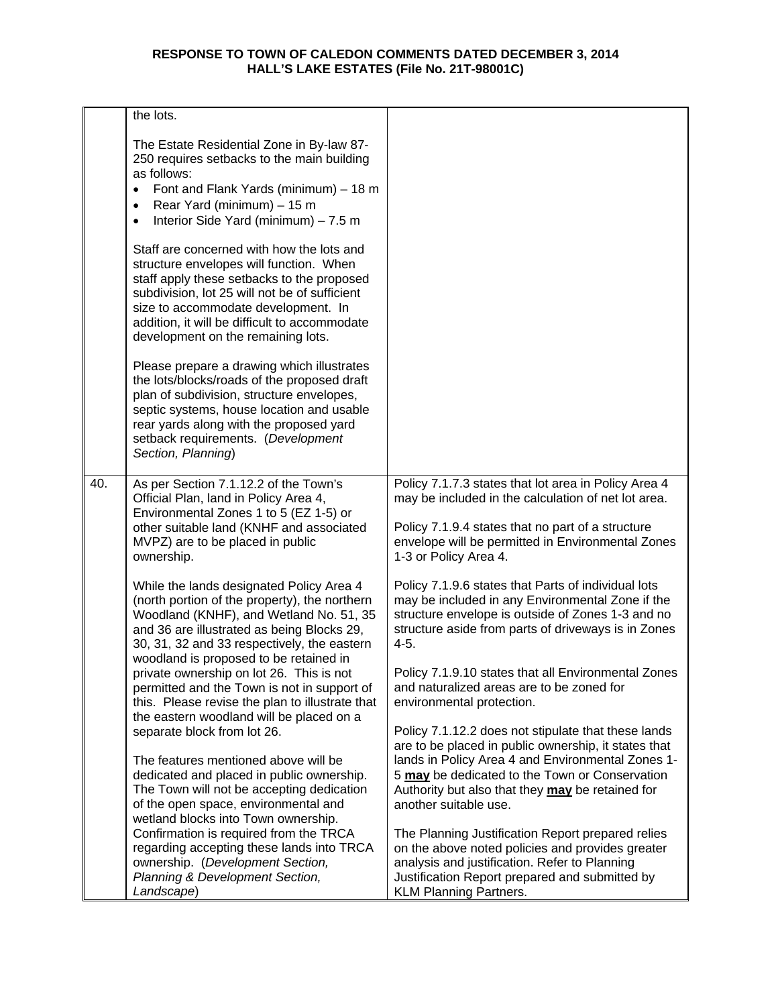|     | the lots.                                                                                                                                                                                                                                                                                                                                                              |                                                                                                                                                                                                                                                                                                                                     |
|-----|------------------------------------------------------------------------------------------------------------------------------------------------------------------------------------------------------------------------------------------------------------------------------------------------------------------------------------------------------------------------|-------------------------------------------------------------------------------------------------------------------------------------------------------------------------------------------------------------------------------------------------------------------------------------------------------------------------------------|
|     | The Estate Residential Zone in By-law 87-<br>250 requires setbacks to the main building<br>as follows:<br>Font and Flank Yards (minimum) - 18 m<br>$\bullet$<br>Rear Yard (minimum) - 15 m<br>$\bullet$<br>Interior Side Yard (minimum) - 7.5 m<br>$\bullet$                                                                                                           |                                                                                                                                                                                                                                                                                                                                     |
|     | Staff are concerned with how the lots and<br>structure envelopes will function. When<br>staff apply these setbacks to the proposed<br>subdivision, lot 25 will not be of sufficient<br>size to accommodate development. In<br>addition, it will be difficult to accommodate<br>development on the remaining lots.                                                      |                                                                                                                                                                                                                                                                                                                                     |
|     | Please prepare a drawing which illustrates<br>the lots/blocks/roads of the proposed draft<br>plan of subdivision, structure envelopes,<br>septic systems, house location and usable<br>rear yards along with the proposed yard<br>setback requirements. (Development<br>Section, Planning)                                                                             |                                                                                                                                                                                                                                                                                                                                     |
| 40. | As per Section 7.1.12.2 of the Town's<br>Official Plan, land in Policy Area 4,<br>Environmental Zones 1 to 5 (EZ 1-5) or<br>other suitable land (KNHF and associated<br>MVPZ) are to be placed in public<br>ownership.                                                                                                                                                 | Policy 7.1.7.3 states that lot area in Policy Area 4<br>may be included in the calculation of net lot area.<br>Policy 7.1.9.4 states that no part of a structure<br>envelope will be permitted in Environmental Zones<br>1-3 or Policy Area 4.                                                                                      |
|     | While the lands designated Policy Area 4<br>(north portion of the property), the northern<br>Woodland (KNHF), and Wetland No. 51, 35<br>and 36 are illustrated as being Blocks 29,<br>30, 31, 32 and 33 respectively, the eastern<br>woodland is proposed to be retained in<br>private ownership on lot 26. This is not<br>permitted and the Town is not in support of | Policy 7.1.9.6 states that Parts of individual lots<br>may be included in any Environmental Zone if the<br>structure envelope is outside of Zones 1-3 and no<br>structure aside from parts of driveways is in Zones<br>$4 - 5.$<br>Policy 7.1.9.10 states that all Environmental Zones<br>and naturalized areas are to be zoned for |
|     | this. Please revise the plan to illustrate that<br>the eastern woodland will be placed on a<br>separate block from lot 26.                                                                                                                                                                                                                                             | environmental protection.<br>Policy 7.1.12.2 does not stipulate that these lands<br>are to be placed in public ownership, it states that                                                                                                                                                                                            |
|     | The features mentioned above will be<br>dedicated and placed in public ownership.<br>The Town will not be accepting dedication<br>of the open space, environmental and<br>wetland blocks into Town ownership.                                                                                                                                                          | lands in Policy Area 4 and Environmental Zones 1-<br>5 may be dedicated to the Town or Conservation<br>Authority but also that they may be retained for<br>another suitable use.                                                                                                                                                    |
|     | Confirmation is required from the TRCA<br>regarding accepting these lands into TRCA<br>ownership. (Development Section,<br>Planning & Development Section,<br>Landscape)                                                                                                                                                                                               | The Planning Justification Report prepared relies<br>on the above noted policies and provides greater<br>analysis and justification. Refer to Planning<br>Justification Report prepared and submitted by<br><b>KLM Planning Partners.</b>                                                                                           |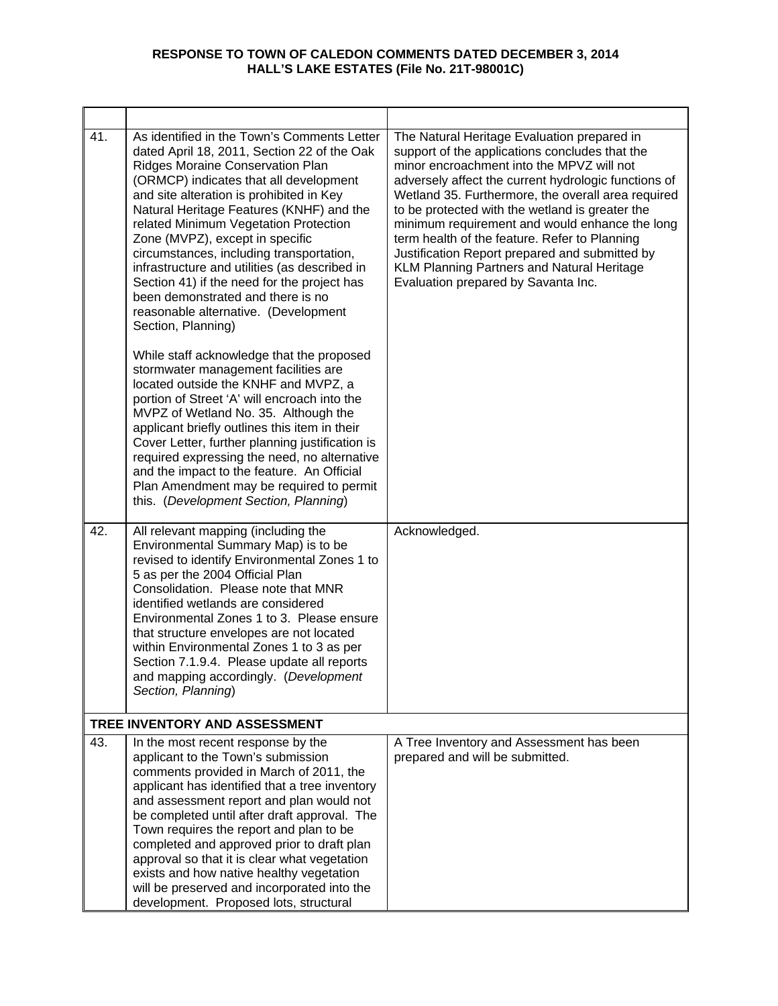| 41. | As identified in the Town's Comments Letter<br>dated April 18, 2011, Section 22 of the Oak<br>Ridges Moraine Conservation Plan<br>(ORMCP) indicates that all development<br>and site alteration is prohibited in Key<br>Natural Heritage Features (KNHF) and the<br>related Minimum Vegetation Protection<br>Zone (MVPZ), except in specific<br>circumstances, including transportation,<br>infrastructure and utilities (as described in<br>Section 41) if the need for the project has<br>been demonstrated and there is no<br>reasonable alternative. (Development<br>Section, Planning) | The Natural Heritage Evaluation prepared in<br>support of the applications concludes that the<br>minor encroachment into the MPVZ will not<br>adversely affect the current hydrologic functions of<br>Wetland 35. Furthermore, the overall area required<br>to be protected with the wetland is greater the<br>minimum requirement and would enhance the long<br>term health of the feature. Refer to Planning<br>Justification Report prepared and submitted by<br>KLM Planning Partners and Natural Heritage<br>Evaluation prepared by Savanta Inc. |
|-----|---------------------------------------------------------------------------------------------------------------------------------------------------------------------------------------------------------------------------------------------------------------------------------------------------------------------------------------------------------------------------------------------------------------------------------------------------------------------------------------------------------------------------------------------------------------------------------------------|-------------------------------------------------------------------------------------------------------------------------------------------------------------------------------------------------------------------------------------------------------------------------------------------------------------------------------------------------------------------------------------------------------------------------------------------------------------------------------------------------------------------------------------------------------|
|     | While staff acknowledge that the proposed<br>stormwater management facilities are<br>located outside the KNHF and MVPZ, a<br>portion of Street 'A' will encroach into the<br>MVPZ of Wetland No. 35. Although the<br>applicant briefly outlines this item in their<br>Cover Letter, further planning justification is<br>required expressing the need, no alternative<br>and the impact to the feature. An Official<br>Plan Amendment may be required to permit<br>this. (Development Section, Planning)                                                                                    |                                                                                                                                                                                                                                                                                                                                                                                                                                                                                                                                                       |
| 42. | All relevant mapping (including the<br>Environmental Summary Map) is to be<br>revised to identify Environmental Zones 1 to<br>5 as per the 2004 Official Plan<br>Consolidation. Please note that MNR<br>identified wetlands are considered<br>Environmental Zones 1 to 3. Please ensure<br>that structure envelopes are not located<br>within Environmental Zones 1 to 3 as per<br>Section 7.1.9.4. Please update all reports<br>and mapping accordingly. (Development<br>Section, Planning)                                                                                                | Acknowledged.                                                                                                                                                                                                                                                                                                                                                                                                                                                                                                                                         |
|     | TREE INVENTORY AND ASSESSMENT                                                                                                                                                                                                                                                                                                                                                                                                                                                                                                                                                               |                                                                                                                                                                                                                                                                                                                                                                                                                                                                                                                                                       |
| 43. | In the most recent response by the<br>applicant to the Town's submission<br>comments provided in March of 2011, the<br>applicant has identified that a tree inventory<br>and assessment report and plan would not<br>be completed until after draft approval. The<br>Town requires the report and plan to be<br>completed and approved prior to draft plan<br>approval so that it is clear what vegetation<br>exists and how native healthy vegetation<br>will be preserved and incorporated into the<br>development. Proposed lots, structural                                             | A Tree Inventory and Assessment has been<br>prepared and will be submitted.                                                                                                                                                                                                                                                                                                                                                                                                                                                                           |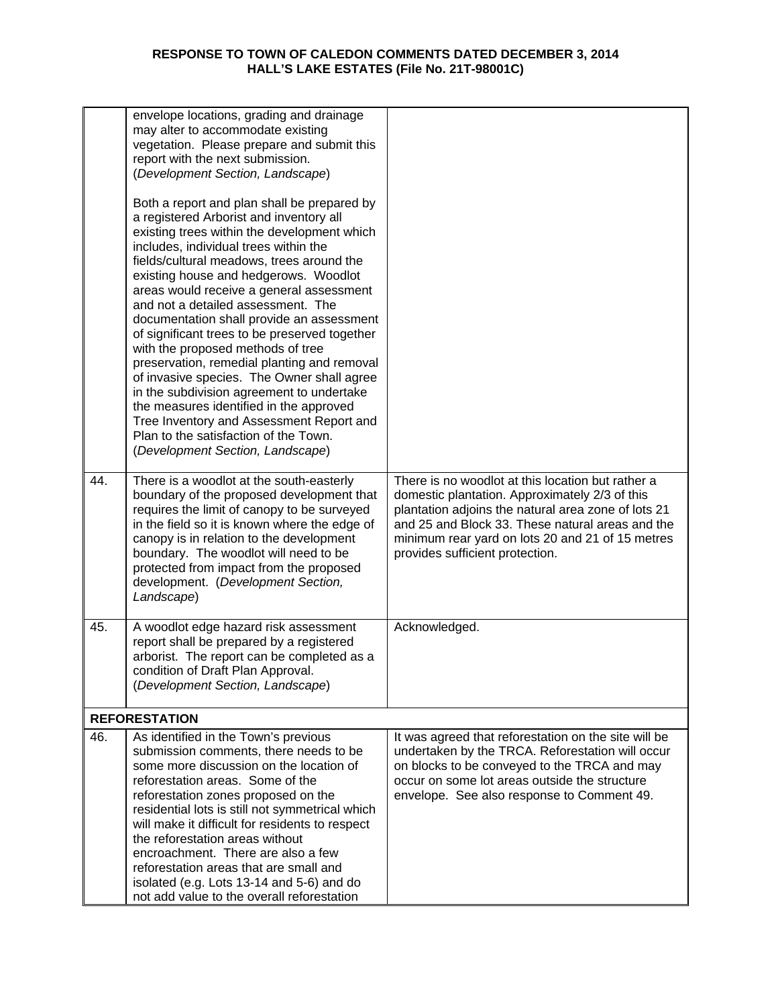|     | envelope locations, grading and drainage<br>may alter to accommodate existing<br>vegetation. Please prepare and submit this<br>report with the next submission.<br>(Development Section, Landscape)                                                                                                                                                                                                                                                                                                                                                                                                                                                                                                                                                                                                     |                                                                                                                                                                                                                                                                                                       |
|-----|---------------------------------------------------------------------------------------------------------------------------------------------------------------------------------------------------------------------------------------------------------------------------------------------------------------------------------------------------------------------------------------------------------------------------------------------------------------------------------------------------------------------------------------------------------------------------------------------------------------------------------------------------------------------------------------------------------------------------------------------------------------------------------------------------------|-------------------------------------------------------------------------------------------------------------------------------------------------------------------------------------------------------------------------------------------------------------------------------------------------------|
|     | Both a report and plan shall be prepared by<br>a registered Arborist and inventory all<br>existing trees within the development which<br>includes, individual trees within the<br>fields/cultural meadows, trees around the<br>existing house and hedgerows. Woodlot<br>areas would receive a general assessment<br>and not a detailed assessment. The<br>documentation shall provide an assessment<br>of significant trees to be preserved together<br>with the proposed methods of tree<br>preservation, remedial planting and removal<br>of invasive species. The Owner shall agree<br>in the subdivision agreement to undertake<br>the measures identified in the approved<br>Tree Inventory and Assessment Report and<br>Plan to the satisfaction of the Town.<br>(Development Section, Landscape) |                                                                                                                                                                                                                                                                                                       |
| 44. | There is a woodlot at the south-easterly<br>boundary of the proposed development that<br>requires the limit of canopy to be surveyed<br>in the field so it is known where the edge of<br>canopy is in relation to the development<br>boundary. The woodlot will need to be<br>protected from impact from the proposed<br>development. (Development Section,<br>Landscape)                                                                                                                                                                                                                                                                                                                                                                                                                               | There is no woodlot at this location but rather a<br>domestic plantation. Approximately 2/3 of this<br>plantation adjoins the natural area zone of lots 21<br>and 25 and Block 33. These natural areas and the<br>minimum rear yard on lots 20 and 21 of 15 metres<br>provides sufficient protection. |
| 45. | A woodlot edge hazard risk assessment<br>report shall be prepared by a registered<br>arborist. The report can be completed as a<br>condition of Draft Plan Approval.<br>(Development Section, Landscape)                                                                                                                                                                                                                                                                                                                                                                                                                                                                                                                                                                                                | Acknowledged.                                                                                                                                                                                                                                                                                         |
|     | <b>REFORESTATION</b>                                                                                                                                                                                                                                                                                                                                                                                                                                                                                                                                                                                                                                                                                                                                                                                    |                                                                                                                                                                                                                                                                                                       |
| 46. | As identified in the Town's previous<br>submission comments, there needs to be<br>some more discussion on the location of<br>reforestation areas. Some of the<br>reforestation zones proposed on the<br>residential lots is still not symmetrical which<br>will make it difficult for residents to respect<br>the reforestation areas without<br>encroachment. There are also a few<br>reforestation areas that are small and<br>isolated (e.g. Lots 13-14 and 5-6) and do<br>not add value to the overall reforestation                                                                                                                                                                                                                                                                                | It was agreed that reforestation on the site will be<br>undertaken by the TRCA. Reforestation will occur<br>on blocks to be conveyed to the TRCA and may<br>occur on some lot areas outside the structure<br>envelope. See also response to Comment 49.                                               |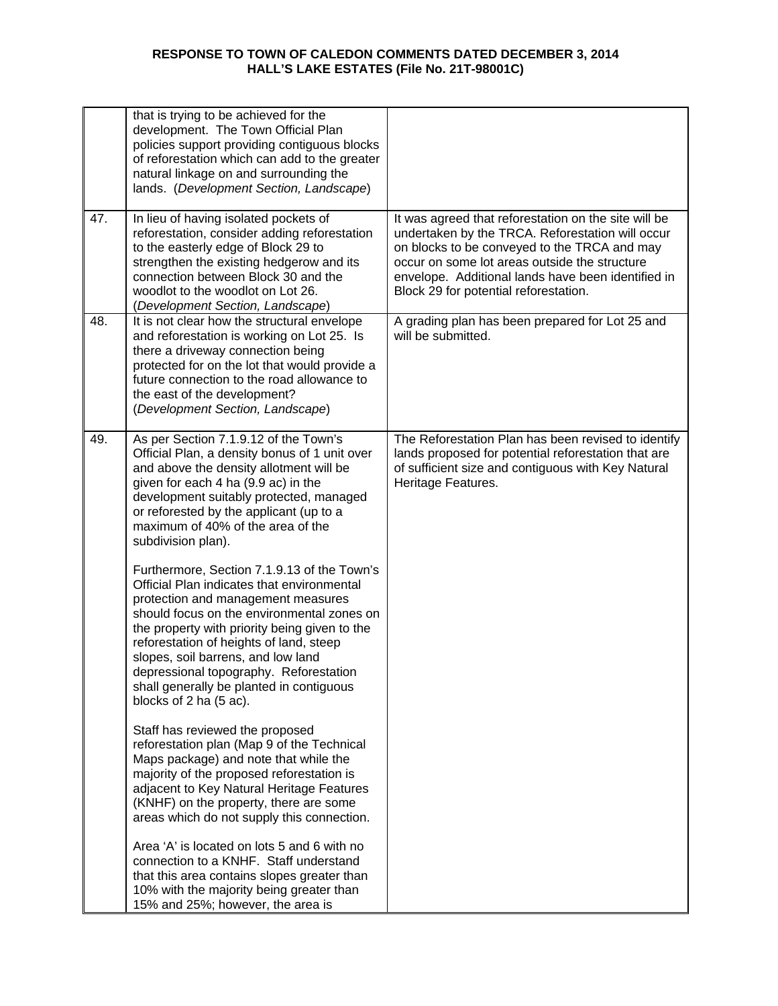|     | that is trying to be achieved for the<br>development. The Town Official Plan<br>policies support providing contiguous blocks<br>of reforestation which can add to the greater<br>natural linkage on and surrounding the<br>lands. (Development Section, Landscape)                                                                                                                                                              |                                                                                                                                                                                                                                                                                                          |
|-----|---------------------------------------------------------------------------------------------------------------------------------------------------------------------------------------------------------------------------------------------------------------------------------------------------------------------------------------------------------------------------------------------------------------------------------|----------------------------------------------------------------------------------------------------------------------------------------------------------------------------------------------------------------------------------------------------------------------------------------------------------|
| 47. | In lieu of having isolated pockets of<br>reforestation, consider adding reforestation<br>to the easterly edge of Block 29 to<br>strengthen the existing hedgerow and its<br>connection between Block 30 and the<br>woodlot to the woodlot on Lot 26.<br>(Development Section, Landscape)                                                                                                                                        | It was agreed that reforestation on the site will be<br>undertaken by the TRCA. Reforestation will occur<br>on blocks to be conveyed to the TRCA and may<br>occur on some lot areas outside the structure<br>envelope. Additional lands have been identified in<br>Block 29 for potential reforestation. |
| 48. | It is not clear how the structural envelope<br>and reforestation is working on Lot 25. Is<br>there a driveway connection being<br>protected for on the lot that would provide a<br>future connection to the road allowance to<br>the east of the development?<br>(Development Section, Landscape)                                                                                                                               | A grading plan has been prepared for Lot 25 and<br>will be submitted.                                                                                                                                                                                                                                    |
| 49. | As per Section 7.1.9.12 of the Town's<br>Official Plan, a density bonus of 1 unit over<br>and above the density allotment will be<br>given for each 4 ha (9.9 ac) in the<br>development suitably protected, managed<br>or reforested by the applicant (up to a<br>maximum of 40% of the area of the<br>subdivision plan).                                                                                                       | The Reforestation Plan has been revised to identify<br>lands proposed for potential reforestation that are<br>of sufficient size and contiguous with Key Natural<br>Heritage Features.                                                                                                                   |
|     | Furthermore, Section 7.1.9.13 of the Town's<br>Official Plan indicates that environmental<br>protection and management measures<br>should focus on the environmental zones on<br>the property with priority being given to the<br>reforestation of heights of land, steep<br>slopes, soil barrens, and low land<br>depressional topography. Reforestation<br>shall generally be planted in contiguous<br>blocks of 2 ha (5 ac). |                                                                                                                                                                                                                                                                                                          |
|     | Staff has reviewed the proposed<br>reforestation plan (Map 9 of the Technical<br>Maps package) and note that while the<br>majority of the proposed reforestation is<br>adjacent to Key Natural Heritage Features<br>(KNHF) on the property, there are some<br>areas which do not supply this connection.                                                                                                                        |                                                                                                                                                                                                                                                                                                          |
|     | Area 'A' is located on lots 5 and 6 with no<br>connection to a KNHF. Staff understand<br>that this area contains slopes greater than<br>10% with the majority being greater than<br>15% and 25%; however, the area is                                                                                                                                                                                                           |                                                                                                                                                                                                                                                                                                          |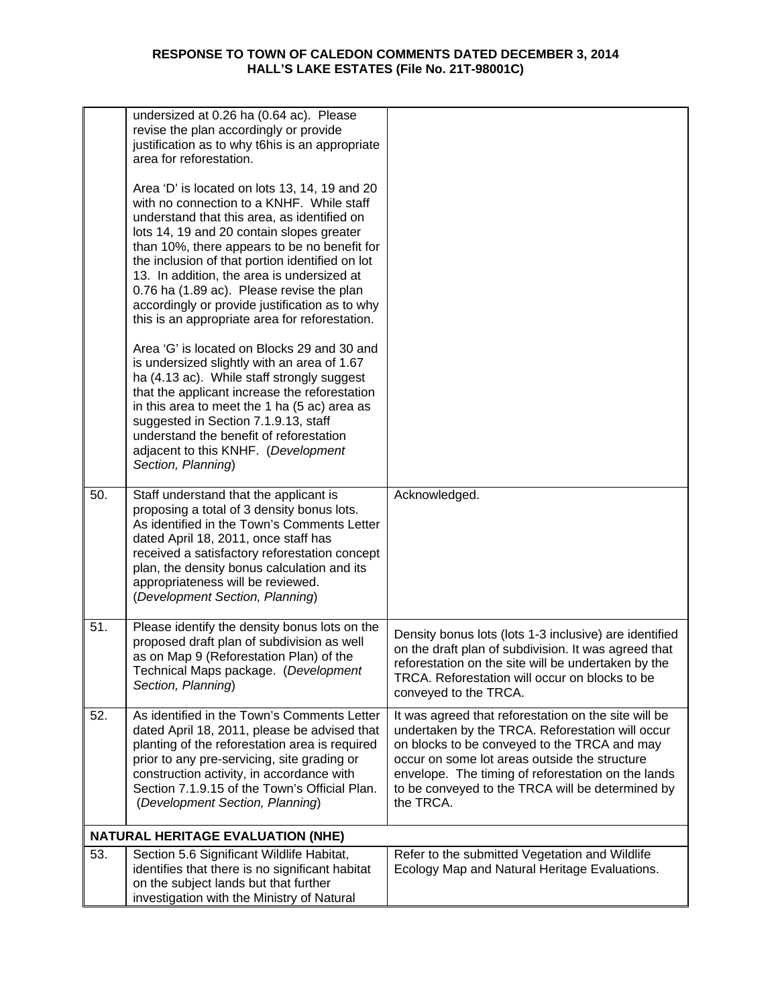|     | undersized at 0.26 ha (0.64 ac). Please<br>revise the plan accordingly or provide<br>justification as to why t6his is an appropriate<br>area for reforestation.                                                                                                                                                                                                                                                                                                                          |                                                                                                                                                                                                                                                                                                                                  |
|-----|------------------------------------------------------------------------------------------------------------------------------------------------------------------------------------------------------------------------------------------------------------------------------------------------------------------------------------------------------------------------------------------------------------------------------------------------------------------------------------------|----------------------------------------------------------------------------------------------------------------------------------------------------------------------------------------------------------------------------------------------------------------------------------------------------------------------------------|
|     | Area 'D' is located on lots 13, 14, 19 and 20<br>with no connection to a KNHF. While staff<br>understand that this area, as identified on<br>lots 14, 19 and 20 contain slopes greater<br>than 10%, there appears to be no benefit for<br>the inclusion of that portion identified on lot<br>13. In addition, the area is undersized at<br>0.76 ha (1.89 ac). Please revise the plan<br>accordingly or provide justification as to why<br>this is an appropriate area for reforestation. |                                                                                                                                                                                                                                                                                                                                  |
|     | Area 'G' is located on Blocks 29 and 30 and<br>is undersized slightly with an area of 1.67<br>ha (4.13 ac). While staff strongly suggest<br>that the applicant increase the reforestation<br>in this area to meet the 1 ha (5 ac) area as<br>suggested in Section 7.1.9.13, staff<br>understand the benefit of reforestation<br>adjacent to this KNHF. (Development<br>Section, Planning)                                                                                                |                                                                                                                                                                                                                                                                                                                                  |
| 50. | Staff understand that the applicant is<br>proposing a total of 3 density bonus lots.<br>As identified in the Town's Comments Letter<br>dated April 18, 2011, once staff has<br>received a satisfactory reforestation concept<br>plan, the density bonus calculation and its<br>appropriateness will be reviewed.<br>(Development Section, Planning)                                                                                                                                      | Acknowledged.                                                                                                                                                                                                                                                                                                                    |
| 51. | Please identify the density bonus lots on the<br>proposed draft plan of subdivision as well<br>as on Map 9 (Reforestation Plan) of the<br>Technical Maps package. (Development<br>Section, Planning)                                                                                                                                                                                                                                                                                     | Density bonus lots (lots 1-3 inclusive) are identified<br>on the draft plan of subdivision. It was agreed that<br>reforestation on the site will be undertaken by the<br>TRCA. Reforestation will occur on blocks to be<br>conveyed to the TRCA.                                                                                 |
| 52. | As identified in the Town's Comments Letter<br>dated April 18, 2011, please be advised that<br>planting of the reforestation area is required<br>prior to any pre-servicing, site grading or<br>construction activity, in accordance with<br>Section 7.1.9.15 of the Town's Official Plan.<br>(Development Section, Planning)                                                                                                                                                            | It was agreed that reforestation on the site will be<br>undertaken by the TRCA. Reforestation will occur<br>on blocks to be conveyed to the TRCA and may<br>occur on some lot areas outside the structure<br>envelope. The timing of reforestation on the lands<br>to be conveyed to the TRCA will be determined by<br>the TRCA. |
|     | <b>NATURAL HERITAGE EVALUATION (NHE)</b>                                                                                                                                                                                                                                                                                                                                                                                                                                                 |                                                                                                                                                                                                                                                                                                                                  |
| 53. | Section 5.6 Significant Wildlife Habitat,<br>identifies that there is no significant habitat<br>on the subject lands but that further<br>investigation with the Ministry of Natural                                                                                                                                                                                                                                                                                                      | Refer to the submitted Vegetation and Wildlife<br>Ecology Map and Natural Heritage Evaluations.                                                                                                                                                                                                                                  |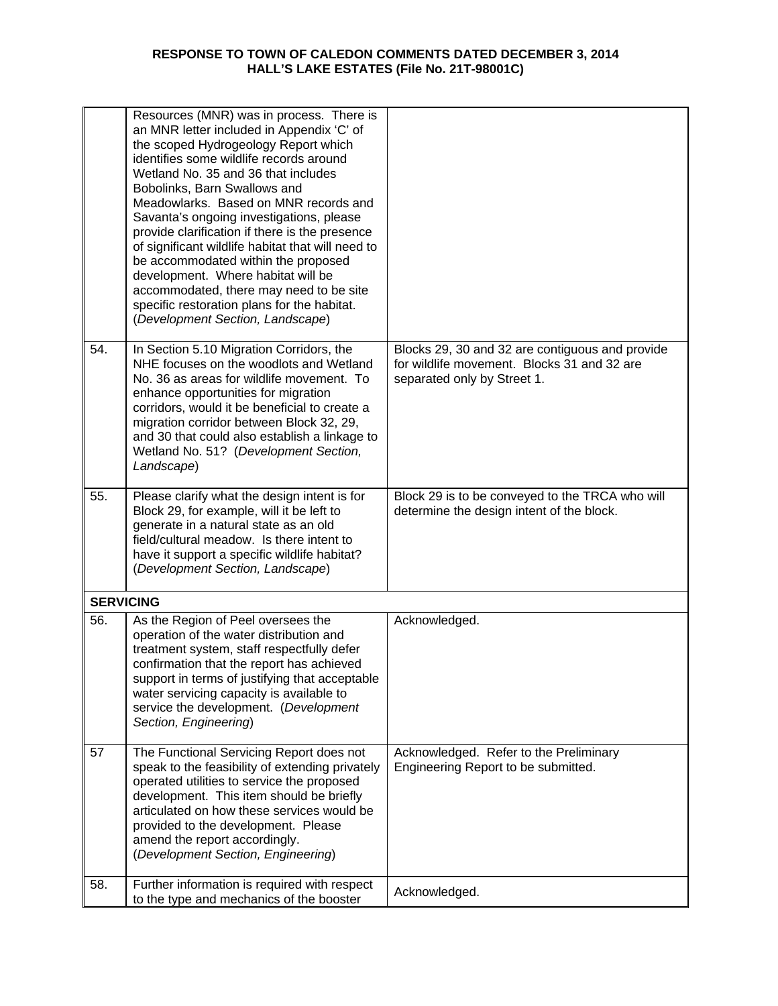|                  | Resources (MNR) was in process. There is<br>an MNR letter included in Appendix 'C' of<br>the scoped Hydrogeology Report which<br>identifies some wildlife records around<br>Wetland No. 35 and 36 that includes<br>Bobolinks, Barn Swallows and<br>Meadowlarks. Based on MNR records and<br>Savanta's ongoing investigations, please<br>provide clarification if there is the presence<br>of significant wildlife habitat that will need to<br>be accommodated within the proposed<br>development. Where habitat will be<br>accommodated, there may need to be site<br>specific restoration plans for the habitat.<br>(Development Section, Landscape) |                                                                                                                               |
|------------------|--------------------------------------------------------------------------------------------------------------------------------------------------------------------------------------------------------------------------------------------------------------------------------------------------------------------------------------------------------------------------------------------------------------------------------------------------------------------------------------------------------------------------------------------------------------------------------------------------------------------------------------------------------|-------------------------------------------------------------------------------------------------------------------------------|
| 54.              | In Section 5.10 Migration Corridors, the<br>NHE focuses on the woodlots and Wetland<br>No. 36 as areas for wildlife movement. To<br>enhance opportunities for migration<br>corridors, would it be beneficial to create a<br>migration corridor between Block 32, 29,<br>and 30 that could also establish a linkage to<br>Wetland No. 51? (Development Section,<br>Landscape)                                                                                                                                                                                                                                                                           | Blocks 29, 30 and 32 are contiguous and provide<br>for wildlife movement. Blocks 31 and 32 are<br>separated only by Street 1. |
| 55.              | Please clarify what the design intent is for<br>Block 29, for example, will it be left to<br>generate in a natural state as an old<br>field/cultural meadow. Is there intent to<br>have it support a specific wildlife habitat?<br>(Development Section, Landscape)                                                                                                                                                                                                                                                                                                                                                                                    | Block 29 is to be conveyed to the TRCA who will<br>determine the design intent of the block.                                  |
| <b>SERVICING</b> |                                                                                                                                                                                                                                                                                                                                                                                                                                                                                                                                                                                                                                                        |                                                                                                                               |
| 56.              | As the Region of Peel oversees the<br>operation of the water distribution and<br>treatment system, staff respectfully defer<br>confirmation that the report has achieved<br>support in terms of justifying that acceptable<br>water servicing capacity is available to<br>service the development. (Development<br>Section, Engineering)                                                                                                                                                                                                                                                                                                               | Acknowledged.                                                                                                                 |
| 57               | The Functional Servicing Report does not<br>speak to the feasibility of extending privately<br>operated utilities to service the proposed<br>development. This item should be briefly<br>articulated on how these services would be<br>provided to the development. Please<br>amend the report accordingly.<br>(Development Section, Engineering)                                                                                                                                                                                                                                                                                                      | Acknowledged. Refer to the Preliminary<br>Engineering Report to be submitted.                                                 |
| 58.              | Further information is required with respect<br>to the type and mechanics of the booster                                                                                                                                                                                                                                                                                                                                                                                                                                                                                                                                                               | Acknowledged.                                                                                                                 |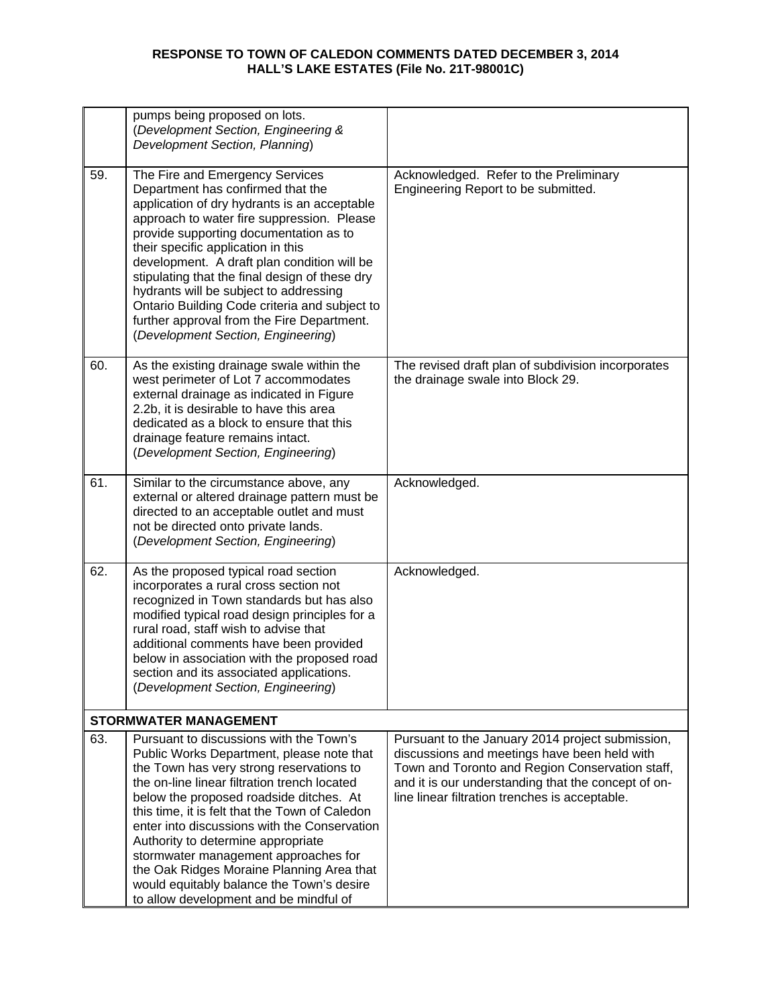|     | pumps being proposed on lots.<br>(Development Section, Engineering &                                                                                                                                                                                                                                                                                                                                                                                                                                                                            |                                                                                                                                                                                                                                                              |
|-----|-------------------------------------------------------------------------------------------------------------------------------------------------------------------------------------------------------------------------------------------------------------------------------------------------------------------------------------------------------------------------------------------------------------------------------------------------------------------------------------------------------------------------------------------------|--------------------------------------------------------------------------------------------------------------------------------------------------------------------------------------------------------------------------------------------------------------|
|     | Development Section, Planning)                                                                                                                                                                                                                                                                                                                                                                                                                                                                                                                  |                                                                                                                                                                                                                                                              |
| 59. | The Fire and Emergency Services<br>Department has confirmed that the<br>application of dry hydrants is an acceptable<br>approach to water fire suppression. Please<br>provide supporting documentation as to<br>their specific application in this<br>development. A draft plan condition will be<br>stipulating that the final design of these dry<br>hydrants will be subject to addressing<br>Ontario Building Code criteria and subject to<br>further approval from the Fire Department.<br>(Development Section, Engineering)              | Acknowledged. Refer to the Preliminary<br>Engineering Report to be submitted.                                                                                                                                                                                |
| 60. | As the existing drainage swale within the<br>west perimeter of Lot 7 accommodates<br>external drainage as indicated in Figure<br>2.2b, it is desirable to have this area<br>dedicated as a block to ensure that this<br>drainage feature remains intact.<br>(Development Section, Engineering)                                                                                                                                                                                                                                                  | The revised draft plan of subdivision incorporates<br>the drainage swale into Block 29.                                                                                                                                                                      |
| 61. | Similar to the circumstance above, any<br>external or altered drainage pattern must be<br>directed to an acceptable outlet and must<br>not be directed onto private lands.<br>(Development Section, Engineering)                                                                                                                                                                                                                                                                                                                                | Acknowledged.                                                                                                                                                                                                                                                |
| 62. | As the proposed typical road section<br>incorporates a rural cross section not<br>recognized in Town standards but has also<br>modified typical road design principles for a<br>rural road, staff wish to advise that<br>additional comments have been provided<br>below in association with the proposed road<br>section and its associated applications.<br>(Development Section, Engineering)                                                                                                                                                | Acknowledged.                                                                                                                                                                                                                                                |
|     | <b>STORMWATER MANAGEMENT</b>                                                                                                                                                                                                                                                                                                                                                                                                                                                                                                                    |                                                                                                                                                                                                                                                              |
| 63. | Pursuant to discussions with the Town's<br>Public Works Department, please note that<br>the Town has very strong reservations to<br>the on-line linear filtration trench located<br>below the proposed roadside ditches. At<br>this time, it is felt that the Town of Caledon<br>enter into discussions with the Conservation<br>Authority to determine appropriate<br>stormwater management approaches for<br>the Oak Ridges Moraine Planning Area that<br>would equitably balance the Town's desire<br>to allow development and be mindful of | Pursuant to the January 2014 project submission,<br>discussions and meetings have been held with<br>Town and Toronto and Region Conservation staff,<br>and it is our understanding that the concept of on-<br>line linear filtration trenches is acceptable. |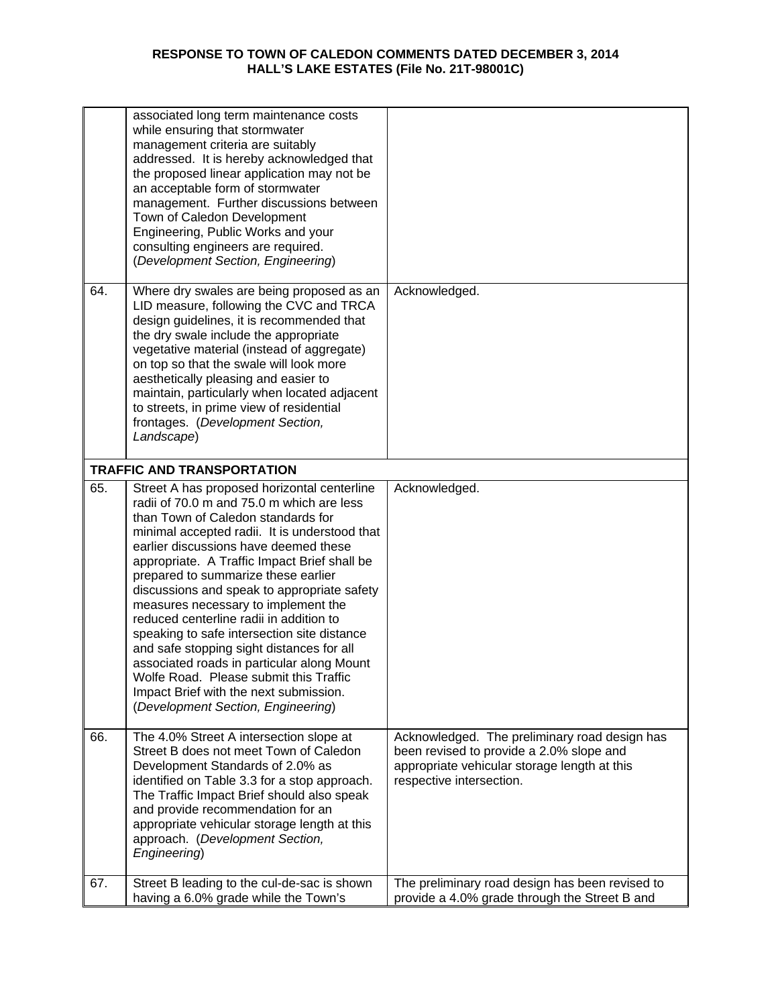|     | associated long term maintenance costs<br>while ensuring that stormwater<br>management criteria are suitably<br>addressed. It is hereby acknowledged that<br>the proposed linear application may not be<br>an acceptable form of stormwater<br>management. Further discussions between<br>Town of Caledon Development<br>Engineering, Public Works and your<br>consulting engineers are required.<br>(Development Section, Engineering)                                                                                                                                                                                                                                                                              |                                                                                                                                                                       |
|-----|----------------------------------------------------------------------------------------------------------------------------------------------------------------------------------------------------------------------------------------------------------------------------------------------------------------------------------------------------------------------------------------------------------------------------------------------------------------------------------------------------------------------------------------------------------------------------------------------------------------------------------------------------------------------------------------------------------------------|-----------------------------------------------------------------------------------------------------------------------------------------------------------------------|
| 64. | Where dry swales are being proposed as an<br>LID measure, following the CVC and TRCA<br>design guidelines, it is recommended that<br>the dry swale include the appropriate<br>vegetative material (instead of aggregate)<br>on top so that the swale will look more<br>aesthetically pleasing and easier to<br>maintain, particularly when located adjacent<br>to streets, in prime view of residential<br>frontages. (Development Section,<br>Landscape)                                                                                                                                                                                                                                                            | Acknowledged.                                                                                                                                                         |
|     | <b>TRAFFIC AND TRANSPORTATION</b>                                                                                                                                                                                                                                                                                                                                                                                                                                                                                                                                                                                                                                                                                    |                                                                                                                                                                       |
| 65. | Street A has proposed horizontal centerline<br>radii of 70.0 m and 75.0 m which are less<br>than Town of Caledon standards for<br>minimal accepted radii. It is understood that<br>earlier discussions have deemed these<br>appropriate. A Traffic Impact Brief shall be<br>prepared to summarize these earlier<br>discussions and speak to appropriate safety<br>measures necessary to implement the<br>reduced centerline radii in addition to<br>speaking to safe intersection site distance<br>and safe stopping sight distances for all<br>associated roads in particular along Mount<br>Wolfe Road. Please submit this Traffic<br>Impact Brief with the next submission.<br>(Development Section, Engineering) | Acknowledged.                                                                                                                                                         |
| 66. | The 4.0% Street A intersection slope at<br>Street B does not meet Town of Caledon<br>Development Standards of 2.0% as<br>identified on Table 3.3 for a stop approach.<br>The Traffic Impact Brief should also speak<br>and provide recommendation for an<br>appropriate vehicular storage length at this<br>approach. (Development Section,<br>Engineering)                                                                                                                                                                                                                                                                                                                                                          | Acknowledged. The preliminary road design has<br>been revised to provide a 2.0% slope and<br>appropriate vehicular storage length at this<br>respective intersection. |
| 67. | Street B leading to the cul-de-sac is shown<br>having a 6.0% grade while the Town's                                                                                                                                                                                                                                                                                                                                                                                                                                                                                                                                                                                                                                  | The preliminary road design has been revised to<br>provide a 4.0% grade through the Street B and                                                                      |